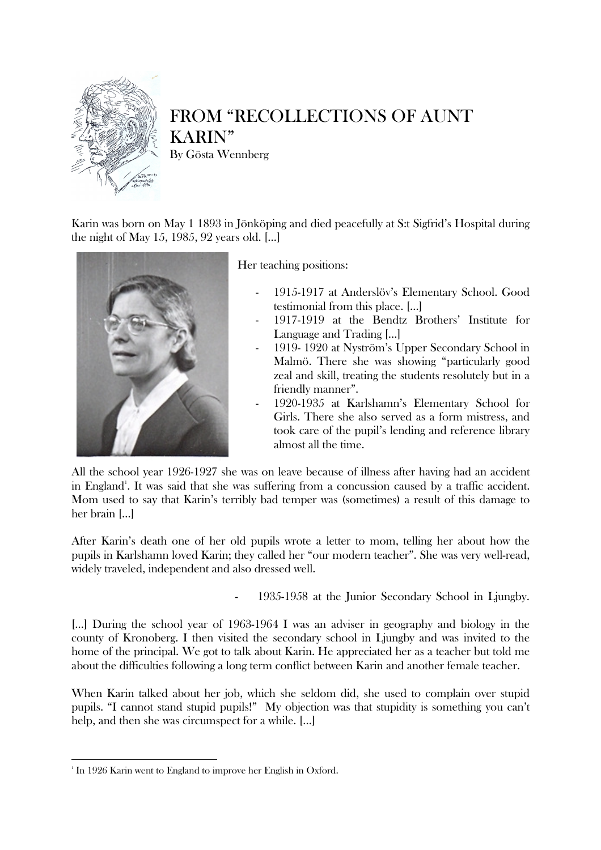

## FROM "RECOLLECTIONS OF AUNT KARIN" By Gösta Wennberg

Karin was born on May 1 1893 in Jönköping and died peacefully at S:t Sigfrid's Hospital during the night of May 15, 1985, 92 years old. […]



Her teaching positions:

- 1915-1917 at Anderslöv's Elementary School. Good testimonial from this place. […]
- 1917-1919 at the Bendtz Brothers' Institute for Language and Trading […]
- 1919- 1920 at Nyström's Upper Secondary School in Malmö. There she was showing "particularly good zeal and skill, treating the students resolutely but in a friendly manner".
	- 1920-1935 at Karlshamn's Elementary School for Girls. There she also served as a form mistress, and took care of the pupil's lending and reference library almost all the time.

All the school year 1926-1927 she was on leave because of illness after having had an accident in England<sup>1</sup>. It was said that she was suffering from a concussion caused by a traffic accident. Mom used to say that Karin's terribly bad temper was (sometimes) a result of this damage to her brain […]

After Karin's death one of her old pupils wrote a letter to mom, telling her about how the pupils in Karlshamn loved Karin; they called her "our modern teacher". She was very well-read, widely traveled, independent and also dressed well.

1935-1958 at the Junior Secondary School in Ljungby.

[…] During the school year of 1963-1964 I was an adviser in geography and biology in the county of Kronoberg. I then visited the secondary school in Ljungby and was invited to the home of the principal. We got to talk about Karin. He appreciated her as a teacher but told me about the difficulties following a long term conflict between Karin and another female teacher.

When Karin talked about her job, which she seldom did, she used to complain over stupid pupils. "I cannot stand stupid pupils!" My objection was that stupidity is something you can't help, and then she was circumspect for a while. [...]

l

<sup>&</sup>lt;sup>1</sup> In 1926 Karin went to England to improve her English in Oxford.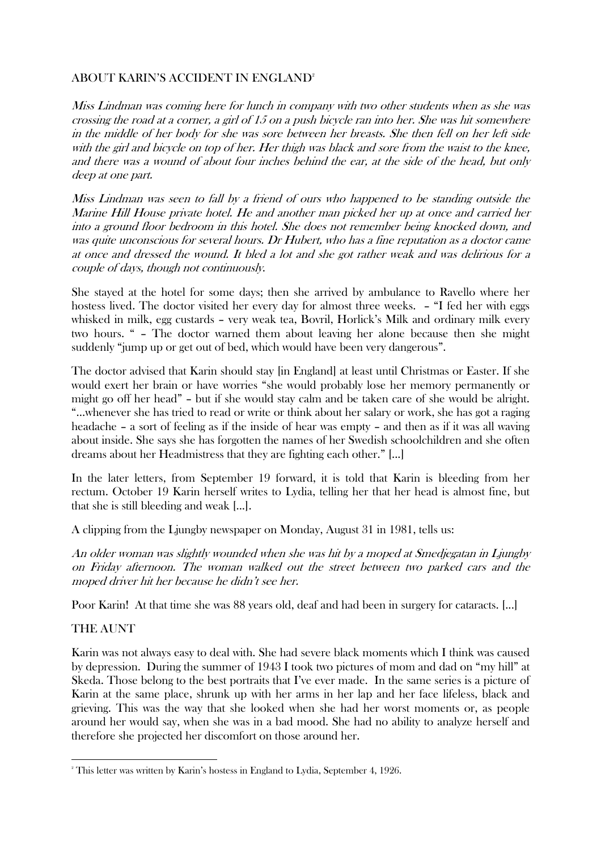## ABOUT KARIN'S ACCIDENT IN ENGLAND<sup>2</sup>

Miss Lindman was coming here for lunch in company with two other students when as she was crossing the road at a corner, a girl of 15 on a push bicycle ran into her. She was hit somewhere in the middle of her body for she was sore between her breasts. She then fell on her left side with the girl and bicycle on top of her. Her thigh was black and sore from the waist to the knee, and there was a wound of about four inches behind the ear, at the side of the head, but only deep at one part.

Miss Lindman was seen to fall by a friend of ours who happened to be standing outside the Marine Hill House private hotel. He and another man picked her up at once and carried her into a ground floor bedroom in this hotel. She does not remember being knocked down, and was quite unconscious for several hours. Dr Hubert, who has a fine reputation as a doctor came at once and dressed the wound. It bled a lot and she got rather weak and was delirious for a couple of days, though not continuously.

She stayed at the hotel for some days; then she arrived by ambulance to Ravello where her hostess lived. The doctor visited her every day for almost three weeks. - "I fed her with eggs whisked in milk, egg custards – very weak tea, Bovril, Horlick's Milk and ordinary milk every two hours. " – The doctor warned them about leaving her alone because then she might suddenly "jump up or get out of bed, which would have been very dangerous".

The doctor advised that Karin should stay [in England] at least until Christmas or Easter. If she would exert her brain or have worries "she would probably lose her memory permanently or might go off her head" – but if she would stay calm and be taken care of she would be alright. "...whenever she has tried to read or write or think about her salary or work, she has got a raging headache – a sort of feeling as if the inside of hear was empty – and then as if it was all waving about inside. She says she has forgotten the names of her Swedish schoolchildren and she often dreams about her Headmistress that they are fighting each other." [...]

In the later letters, from September 19 forward, it is told that Karin is bleeding from her rectum. October 19 Karin herself writes to Lydia, telling her that her head is almost fine, but that she is still bleeding and weak [...].

A clipping from the Ljungby newspaper on Monday, August 31 in 1981, tells us:

An older woman was slightly wounded when she was hit by a moped at Smedjegatan in Ljungby on Friday afternoon. The woman walked out the street between two parked cars and the moped driver hit her because he didn't see her.

Poor Karin! At that time she was 88 years old, deaf and had been in surgery for cataracts. [...]

## THE AUNT

l

Karin was not always easy to deal with. She had severe black moments which I think was caused by depression. During the summer of 1943 I took two pictures of mom and dad on "my hill" at Skeda. Those belong to the best portraits that I've ever made. In the same series is a picture of Karin at the same place, shrunk up with her arms in her lap and her face lifeless, black and grieving. This was the way that she looked when she had her worst moments or, as people around her would say, when she was in a bad mood. She had no ability to analyze herself and therefore she projected her discomfort on those around her.

 $2^{\circ}$  This letter was written by Karin's hostess in England to Lydia, September 4, 1926.